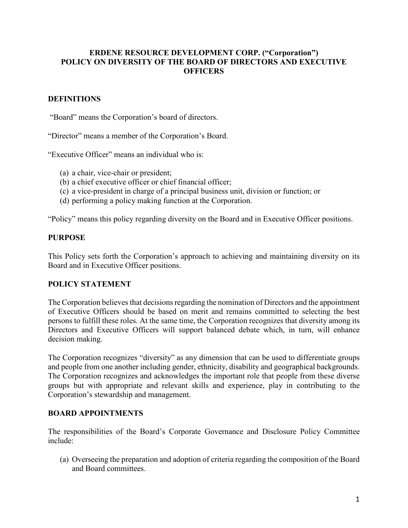## **ERDENE RESOURCE DEVELOPMENT CORP. ("Corporation") POLICY ON DIVERSITY OF THE BOARD OF DIRECTORS AND EXECUTIVE OFFICERS**

# **DEFINITIONS**

"Board" means the Corporation's board of directors.

"Director" means a member of the Corporation's Board.

"Executive Officer" means an individual who is:

- (a) a chair, vice-chair or president;
- (b) a chief executive officer or chief financial officer;
- (c) a vice-president in charge of a principal business unit, division or function; or
- (d) performing a policy making function at the Corporation.

"Policy" means this policy regarding diversity on the Board and in Executive Officer positions.

### **PURPOSE**

This Policy sets forth the Corporation's approach to achieving and maintaining diversity on its Board and in Executive Officer positions.

## **POLICY STATEMENT**

The Corporation believes that decisions regarding the nomination of Directors and the appointment of Executive Officers should be based on merit and remains committed to selecting the best persons to fulfill these roles. At the same time, the Corporation recognizes that diversity among its Directors and Executive Officers will support balanced debate which, in turn, will enhance decision making.

The Corporation recognizes "diversity" as any dimension that can be used to differentiate groups and people from one another including gender, ethnicity, disability and geographical backgrounds. The Corporation recognizes and acknowledges the important role that people from these diverse groups but with appropriate and relevant skills and experience, play in contributing to the Corporation's stewardship and management.

#### **BOARD APPOINTMENTS**

The responsibilities of the Board's Corporate Governance and Disclosure Policy Committee include:

(a) Overseeing the preparation and adoption of criteria regarding the composition of the Board and Board committees.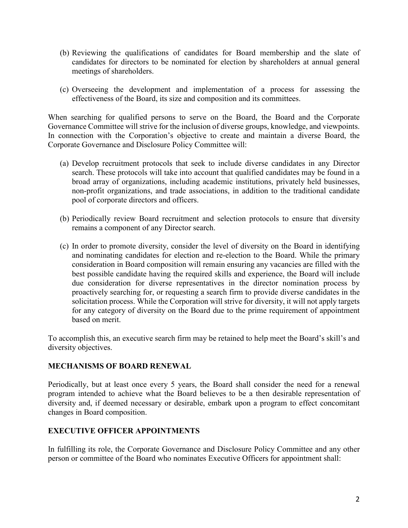- (b) Reviewing the qualifications of candidates for Board membership and the slate of candidates for directors to be nominated for election by shareholders at annual general meetings of shareholders.
- (c) Overseeing the development and implementation of a process for assessing the effectiveness of the Board, its size and composition and its committees.

When searching for qualified persons to serve on the Board, the Board and the Corporate Governance Committee will strive for the inclusion of diverse groups, knowledge, and viewpoints. In connection with the Corporation's objective to create and maintain a diverse Board, the Corporate Governance and Disclosure Policy Committee will:

- (a) Develop recruitment protocols that seek to include diverse candidates in any Director search. These protocols will take into account that qualified candidates may be found in a broad array of organizations, including academic institutions, privately held businesses, non-profit organizations, and trade associations, in addition to the traditional candidate pool of corporate directors and officers.
- (b) Periodically review Board recruitment and selection protocols to ensure that diversity remains a component of any Director search.
- (c) In order to promote diversity, consider the level of diversity on the Board in identifying and nominating candidates for election and re-election to the Board. While the primary consideration in Board composition will remain ensuring any vacancies are filled with the best possible candidate having the required skills and experience, the Board will include due consideration for diverse representatives in the director nomination process by proactively searching for, or requesting a search firm to provide diverse candidates in the solicitation process. While the Corporation will strive for diversity, it will not apply targets for any category of diversity on the Board due to the prime requirement of appointment based on merit.

To accomplish this, an executive search firm may be retained to help meet the Board's skill's and diversity objectives.

## **MECHANISMS OF BOARD RENEWAL**

Periodically, but at least once every 5 years, the Board shall consider the need for a renewal program intended to achieve what the Board believes to be a then desirable representation of diversity and, if deemed necessary or desirable, embark upon a program to effect concomitant changes in Board composition.

## **EXECUTIVE OFFICER APPOINTMENTS**

In fulfilling its role, the Corporate Governance and Disclosure Policy Committee and any other person or committee of the Board who nominates Executive Officers for appointment shall: